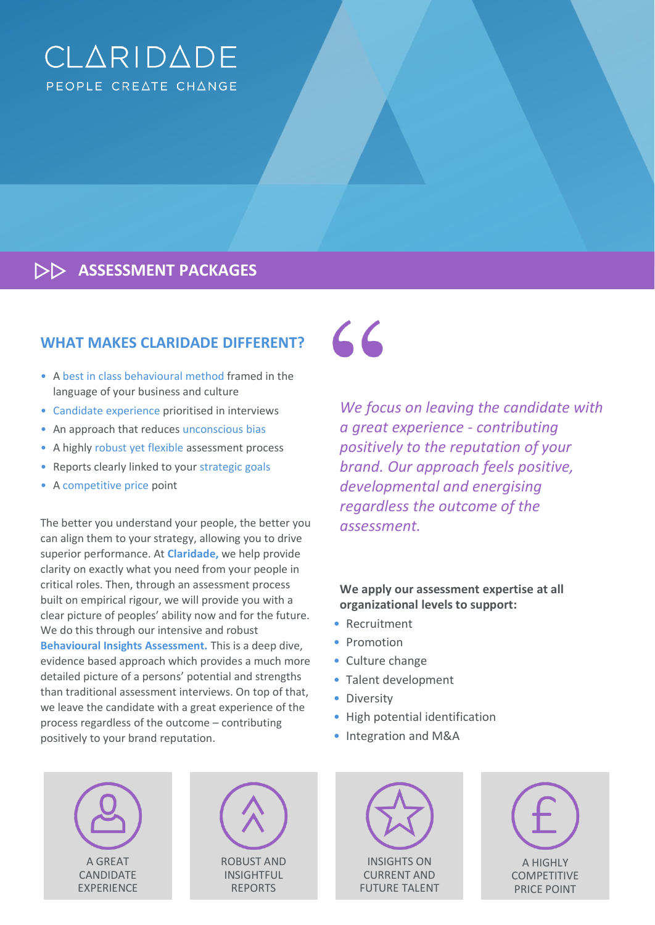# CLARIDADE PEOPLE CREATE CHANGE

**ASSESSMENT PACKAGES**

# **WHAT MAKES CLARIDADE DIFFERENT?**

- A best in class behavioural method framed in the language of your business and culture
- Candidate experience prioritised in interviews
- An approach that reduces unconscious bias
- A highly robust yet flexible assessment process
- Reports clearly linked to your strategic goals
- A competitive price point

The better you understand your people, the better you can align them to your strategy, allowing you to drive superior performance. At **Claridade,** we help provide clarity on exactly what you need from your people in critical roles. Then, through an assessment process built on empirical rigour, we will provide you with a clear picture of peoples' ability now and for the future. We do this through our intensive and robust **Behavioural Insights Assessment.** This is a deep dive, evidence based approach which provides a much more detailed picture of a persons' potential and strengths than traditional assessment interviews. On top of that, we leave the candidate with a great experience of the process regardless of the outcome – contributing positively to your brand reputation.

 $66$ 

*We focus on leaving the candidate with a great experience - contributing positively to the reputation of your brand. Our approach feels positive, developmental and energising regardless the outcome of the assessment.*

# **We apply our assessment expertise at all organizational levels to support:**

- Recruitment
- Promotion
- Culture change
- Talent development
- Diversity
- High potential identification
- Integration and M&A

A GREAT CANDIDATE EXPERIENCE